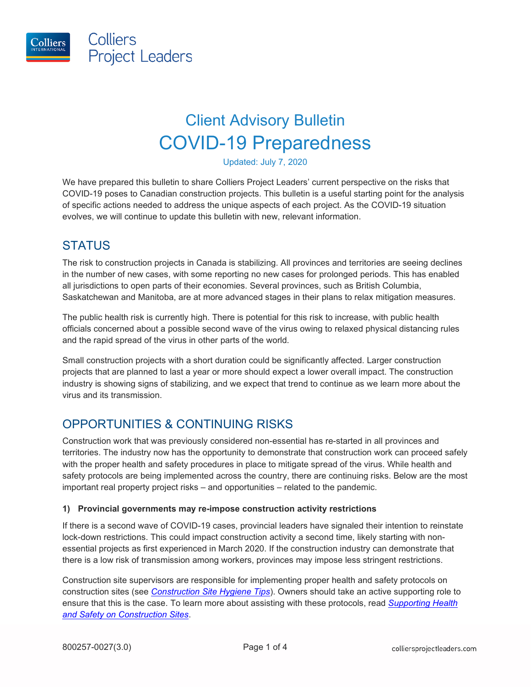

Colliers **Project Leaders** 

# Client Advisory Bulletin COVID-19 Preparedness

Updated: July 7, 2020

We have prepared this bulletin to share Colliers Project Leaders' current perspective on the risks that COVID-19 poses to Canadian construction projects. This bulletin is a useful starting point for the analysis of specific actions needed to address the unique aspects of each project. As the COVID-19 situation evolves, we will continue to update this bulletin with new, relevant information.

## **STATUS**

The risk to construction projects in Canada is stabilizing. All provinces and territories are seeing declines in the number of new cases, with some reporting no new cases for prolonged periods. This has enabled all jurisdictions to open parts of their economies. Several provinces, such as British Columbia, Saskatchewan and Manitoba, are at more advanced stages in their plans to relax mitigation measures.

The public health risk is currently high. There is potential for this risk to increase, with public health officials concerned about a possible second wave of the virus owing to relaxed physical distancing rules and the rapid spread of the virus in other parts of the world.

Small construction projects with a short duration could be significantly affected. Larger construction projects that are planned to last a year or more should expect a lower overall impact. The construction industry is showing signs of stabilizing, and we expect that trend to continue as we learn more about the virus and its transmission.

## OPPORTUNITIES & CONTINUING RISKS

Construction work that was previously considered non-essential has re-started in all provinces and territories. The industry now has the opportunity to demonstrate that construction work can proceed safely with the proper health and safety procedures in place to mitigate spread of the virus. While health and safety protocols are being implemented across the country, there are continuing risks. Below are the most important real property project risks – and opportunities – related to the pandemic.

#### **1) Provincial governments may re-impose construction activity restrictions**

If there is a second wave of COVID-19 cases, provincial leaders have signaled their intention to reinstate lock-down restrictions. This could impact construction activity a second time, likely starting with nonessential projects as first experienced in March 2020. If the construction industry can demonstrate that there is a low risk of transmission among workers, provinces may impose less stringent restrictions.

Construction site supervisors are responsible for implementing proper health and safety protocols on construction sites (see *[Construction Site Hygiene Tips](https://www.colliersprojectleaders.com/insights/construction-site-hygiene-tips)*). Owners should take an active supporting role to ensure that this is the case. To learn more about assisting with these protocols, read *[Supporting Health](https://www.colliersprojectleaders.com/insights/supporting-health-safety-on-construction-sites)  [and Safety on Construction Sites](https://www.colliersprojectleaders.com/insights/supporting-health-safety-on-construction-sites)*.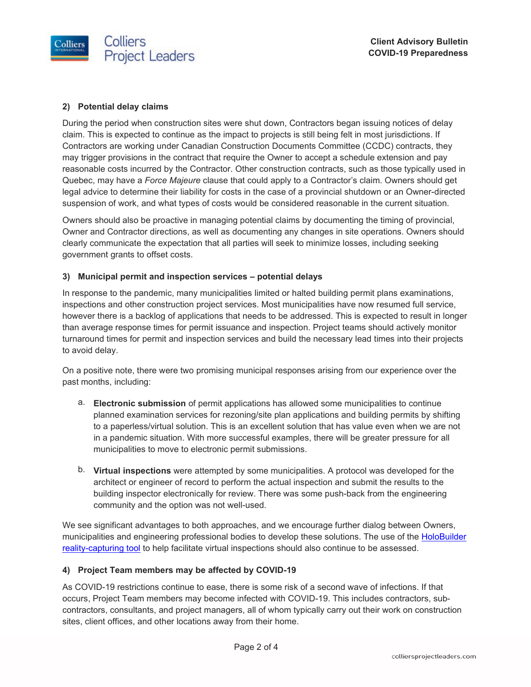

#### **2) Potential delay claims**

During the period when construction sites were shut down, Contractors began issuing notices of delay claim. This is expected to continue as the impact to projects is still being felt in most jurisdictions. If Contractors are working under Canadian Construction Documents Committee (CCDC) contracts, they may trigger provisions in the contract that require the Owner to accept a schedule extension and pay reasonable costs incurred by the Contractor. Other construction contracts, such as those typically used in Quebec, may have a *Force Majeure* clause that could apply to a Contractor's claim. Owners should get legal advice to determine their liability for costs in the case of a provincial shutdown or an Owner-directed suspension of work, and what types of costs would be considered reasonable in the current situation.

Owners should also be proactive in managing potential claims by documenting the timing of provincial, Owner and Contractor directions, as well as documenting any changes in site operations. Owners should clearly communicate the expectation that all parties will seek to minimize losses, including seeking government grants to offset costs.

#### **3) Municipal permit and inspection services – potential delays**

In response to the pandemic, many municipalities limited or halted building permit plans examinations, inspections and other construction project services. Most municipalities have now resumed full service, however there is a backlog of applications that needs to be addressed. This is expected to result in longer than average response times for permit issuance and inspection. Project teams should actively monitor turnaround times for permit and inspection services and build the necessary lead times into their projects to avoid delay.

On a positive note, there were two promising municipal responses arising from our experience over the past months, including:

- a. **Electronic submission** of permit applications has allowed some municipalities to continue planned examination services for rezoning/site plan applications and building permits by shifting to a paperless/virtual solution. This is an excellent solution that has value even when we are not in a pandemic situation. With more successful examples, there will be greater pressure for all municipalities to move to electronic permit submissions.
- b. **Virtual inspections** were attempted by some municipalities. A protocol was developed for the architect or engineer of record to perform the actual inspection and submit the results to the building inspector electronically for review. There was some push-back from the engineering community and the option was not well-used.

We see significant advantages to both approaches, and we encourage further dialog between Owners, municipalities and engineering professional bodies to develop these solutions. The use of the [HoloBuilder](https://www.colliersprojectleaders.com/news/site-documentation-to-advance-construction-projects-during-covid-19)  [reality-capturing tool](https://www.colliersprojectleaders.com/news/site-documentation-to-advance-construction-projects-during-covid-19) to help facilitate virtual inspections should also continue to be assessed.

#### **4) Project Team members may be affected by COVID-19**

As COVID-19 restrictions continue to ease, there is some risk of a second wave of infections. If that occurs, Project Team members may become infected with COVID-19. This includes contractors, subcontractors, consultants, and project managers, all of whom typically carry out their work on construction sites, client offices, and other locations away from their home.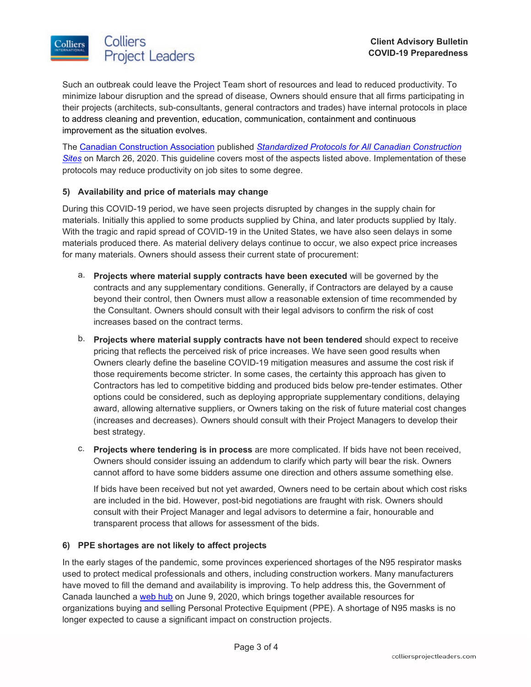

Such an outbreak could leave the Project Team short of resources and lead to reduced productivity. To minimize labour disruption and the spread of disease, Owners should ensure that all firms participating in their projects (architects, sub-consultants, general contractors and trades) have internal protocols in place to address cleaning and prevention, education, communication, containment and continuous improvement as the situation evolves.

The [Canadian Construction Association](https://www.cca-acc.com/) published *[Standardized Protocols for All Canadian Construction](https://www.cca-acc.com/wp-content/uploads/2020/06/CCA-COVID-19-Standardized-Protocols-for-All-Canadian-Construction-Sites-05-26-20.pdf)  [Sites](https://www.cca-acc.com/wp-content/uploads/2020/06/CCA-COVID-19-Standardized-Protocols-for-All-Canadian-Construction-Sites-05-26-20.pdf)* on March 26, 2020. This guideline covers most of the aspects listed above. Implementation of these protocols may reduce productivity on job sites to some degree.

#### **5) Availability and price of materials may change**

During this COVID-19 period, we have seen projects disrupted by changes in the supply chain for materials. Initially this applied to some products supplied by China, and later products supplied by Italy. With the tragic and rapid spread of COVID-19 in the United States, we have also seen delays in some materials produced there. As material delivery delays continue to occur, we also expect price increases for many materials. Owners should assess their current state of procurement:

- a. **Projects where material supply contracts have been executed** will be governed by the contracts and any supplementary conditions. Generally, if Contractors are delayed by a cause beyond their control, then Owners must allow a reasonable extension of time recommended by the Consultant. Owners should consult with their legal advisors to confirm the risk of cost increases based on the contract terms.
- b. **Projects where material supply contracts have not been tendered** should expect to receive pricing that reflects the perceived risk of price increases. We have seen good results when Owners clearly define the baseline COVID-19 mitigation measures and assume the cost risk if those requirements become stricter. In some cases, the certainty this approach has given to Contractors has led to competitive bidding and produced bids below pre-tender estimates. Other options could be considered, such as deploying appropriate supplementary conditions, delaying award, allowing alternative suppliers, or Owners taking on the risk of future material cost changes (increases and decreases). Owners should consult with their Project Managers to develop their best strategy.
- c. **Projects where tendering is in process** are more complicated. If bids have not been received, Owners should consider issuing an addendum to clarify which party will bear the risk. Owners cannot afford to have some bidders assume one direction and others assume something else.

If bids have been received but not yet awarded, Owners need to be certain about which cost risks are included in the bid. However, post-bid negotiations are fraught with risk. Owners should consult with their Project Manager and legal advisors to determine a fair, honourable and transparent process that allows for assessment of the bids.

#### **6) PPE shortages are not likely to affect projects**

In the early stages of the pandemic, some provinces experienced shortages of the N95 respirator masks used to protect medical professionals and others, including construction workers. Many manufacturers have moved to fill the demand and availability is improving. To help address this, the Government of Canada launched a [web hub](https://www.canada.ca/en/public-services-procurement/services/buying-selling-personal-protective-equipment-covid-19-overview.html) on June 9, 2020, which brings together available resources for organizations buying and selling Personal Protective Equipment (PPE). A shortage of N95 masks is no longer expected to cause a significant impact on construction projects.